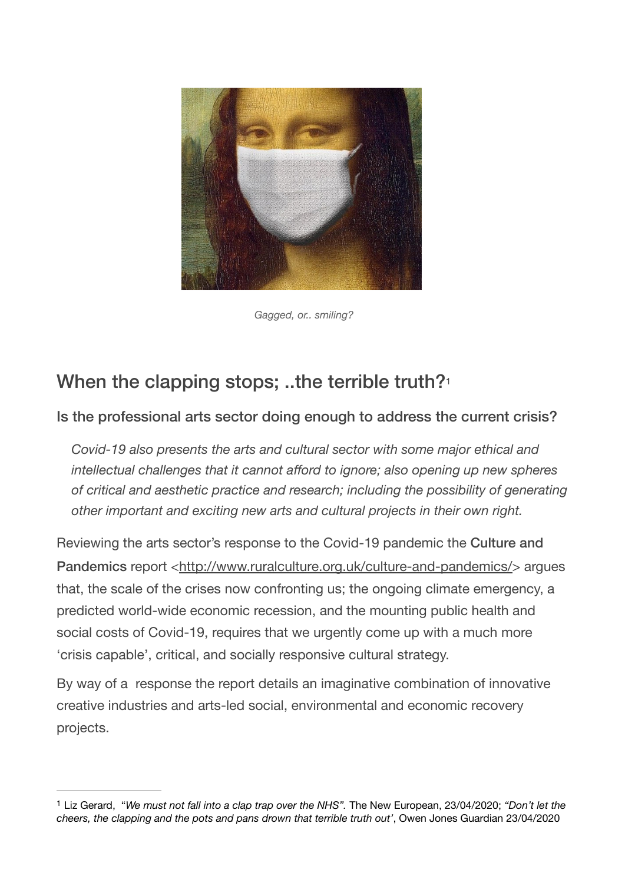

*Gagged, or.. smiling?* 

# When the clapping stops; ..the terrible truth?[1](#page-0-0)

### Is the professional arts sector doing enough to address the current crisis?

<span id="page-0-1"></span>*Covid-19 also presents the arts and cultural sector with some major ethical and intellectual challenges that it cannot afford to ignore; also opening up new spheres of critical and aesthetic practice and research; including the possibility of generating other important and exciting new arts and cultural projects in their own right.* 

Reviewing the arts sector's response to the Covid-19 pandemic the Culture and Pandemics report <<http://www.ruralculture.org.uk/culture-and-pandemics/>> argues that, the scale of the crises now confronting us; the ongoing climate emergency, a predicted world-wide economic recession, and the mounting public health and social costs of Covid-19, requires that we urgently come up with a much more 'crisis capable', critical, and socially responsive cultural strategy.

By way of a response the report details an imaginative combination of innovative creative industries and arts-led social, environmental and economic recovery projects.

<span id="page-0-0"></span>Liz Gerard, "*We must not fall into a clap trap over the NHS".* The New European, 23/04/2020; *"Don't let the* [1](#page-0-1) *cheers, the clapping and the pots and pans drown that terrible truth out'*, Owen Jones Guardian 23/04/2020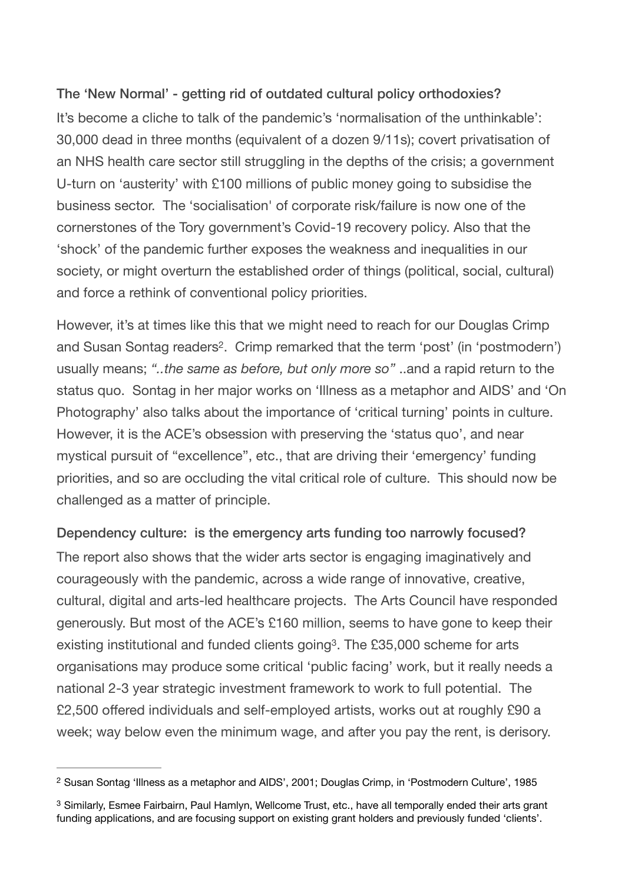### The 'New Normal' - getting rid of outdated cultural policy orthodoxies?

It's become a cliche to talk of the pandemic's 'normalisation of the unthinkable': 30,000 dead in three months (equivalent of a dozen 9/11s); covert privatisation of an NHS health care sector still struggling in the depths of the crisis; a government U-turn on 'austerity' with £100 millions of public money going to subsidise the business sector. The 'socialisation' of corporate risk/failure is now one of the cornerstones of the Tory government's Covid-19 recovery policy. Also that the 'shock' of the pandemic further exposes the weakness and inequalities in our society, or might overturn the established order of things (political, social, cultural) and force a rethink of conventional policy priorities.

<span id="page-1-2"></span>However, it's at times like this that we might need to reach for our Douglas Crimp and Susan Sontag readers<sup>[2](#page-1-0)</sup>. Crimp remarked that the term 'post' (in 'postmodern') usually means; *"..the same as before, but only more so"* ..and a rapid return to the status quo. Sontag in her major works on 'Illness as a metaphor and AIDS' and 'On Photography' also talks about the importance of 'critical turning' points in culture. However, it is the ACE's obsession with preserving the 'status quo', and near mystical pursuit of "excellence", etc., that are driving their 'emergency' funding priorities, and so are occluding the vital critical role of culture. This should now be challenged as a matter of principle.

# Dependency culture: is the emergency arts funding too narrowly focused?

<span id="page-1-3"></span>The report also shows that the wider arts sector is engaging imaginatively and courageously with the pandemic, across a wide range of innovative, creative, cultural, digital and arts-led healthcare projects. The Arts Council have responded generously. But most of the ACE's £160 million, seems to have gone to keep their existing institutional and funded clients going<sup>3</sup>[.](#page-1-1) The £[3](#page-1-1)5,000 scheme for arts organisations may produce some critical 'public facing' work, but it really needs a national 2-3 year strategic investment framework to work to full potential. The £2,500 offered individuals and self-employed artists, works out at roughly £90 a week; way below even the minimum wage, and after you pay the rent, is derisory.

<span id="page-1-0"></span>[<sup>2</sup>](#page-1-2) Susan Sontag 'Illness as a metaphor and AIDS', 2001; Douglas Crimp, in 'Postmodern Culture', 1985

<span id="page-1-1"></span><sup>&</sup>lt;sup>[3](#page-1-3)</sup> Similarly, Esmee Fairbairn, Paul Hamlyn, Wellcome Trust, etc., have all temporally ended their arts grant funding applications, and are focusing support on existing grant holders and previously funded 'clients'.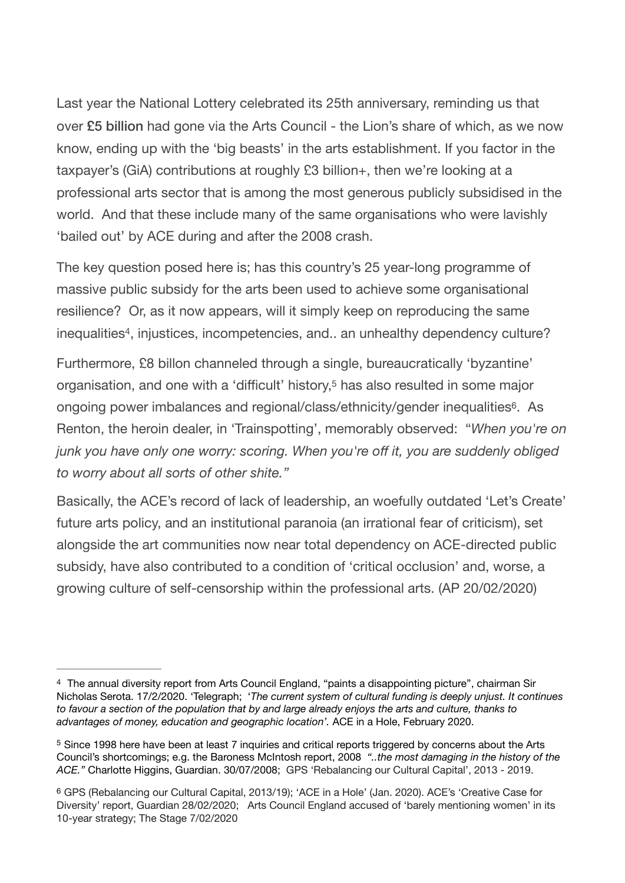Last year the National Lottery celebrated its 25th anniversary, reminding us that over £5 billion had gone via the Arts Council - the Lion's share of which, as we now know, ending up with the 'big beasts' in the arts establishment. If you factor in the taxpayer's (GiA) contributions at roughly £3 billion+, then we're looking at a professional arts sector that is among the most generous publicly subsidised in the world. And that these include many of the same organisations who were lavishly 'bailed out' by ACE during and after the 2008 crash.

The key question posed here is; has this country's 25 year-long programme of massive public subsidy for the arts been used to achieve some organisational resilience? Or, as it now appears, will it simply keep on reproducing the same inequalities<sup>[4](#page-2-0)</sup>, injustices, incompetencies, and.. an unhealthy dependency culture?

<span id="page-2-5"></span><span id="page-2-4"></span><span id="page-2-3"></span>Furthermore, £8 billon channeled through a single, bureaucratically 'byzantine' organisation[,](#page-2-1) and one with a 'difficult' history,<sup>[5](#page-2-1)</sup> has also resulted in some major ongoing power imbalances and regional/class/ethnicity/gender inequalities<sup>[6](#page-2-2)</sup>. As Renton, the heroin dealer, in 'Trainspotting', memorably observed: "*When you're on junk you have only one worry: scoring. When you're off it, you are suddenly obliged to worry about all sorts of other shite."* 

Basically, the ACE's record of lack of leadership, an woefully outdated 'Let's Create' future arts policy, and an institutional paranoia (an irrational fear of criticism), set alongside the art communities now near total dependency on ACE-directed public subsidy, have also contributed to a condition of 'critical occlusion' and, worse, a growing culture of self-censorship within the professional arts. (AP 20/02/2020)

<span id="page-2-0"></span><sup>&</sup>lt;sup>[4](#page-2-3)</sup> The annual diversity report from Arts Council England, "paints a disappointing picture", chairman Sir Nicholas Serota. 17/2/2020. 'Telegraph; '*The current system of cultural funding is deeply unjust. It continues to favour a section of the population that by and large already enjoys the arts and culture, thanks to advantages of money, education and geographic location'.* ACE in a Hole, February 2020.

<span id="page-2-1"></span><sup>&</sup>lt;sup>[5](#page-2-4)</sup> Since 1998 here have been at least 7 inquiries and critical reports triggered by concerns about the Arts Council's shortcomings; e.g. the Baroness McIntosh report, 2008 *"..the most damaging in the history of the ACE."* Charlotte Higgins, Guardian. 30/07/2008; GPS 'Rebalancing our Cultural Capital', 2013 - 2019.

<span id="page-2-2"></span>GPS (Rebalancing our Cultural Capital, 2013/19); 'ACE in a Hole' (Jan. 2020). ACE's 'Creative Case for [6](#page-2-5) Diversity' report, Guardian 28/02/2020; Arts Council England accused of 'barely mentioning women' in its 10-year strategy; The Stage 7/02/2020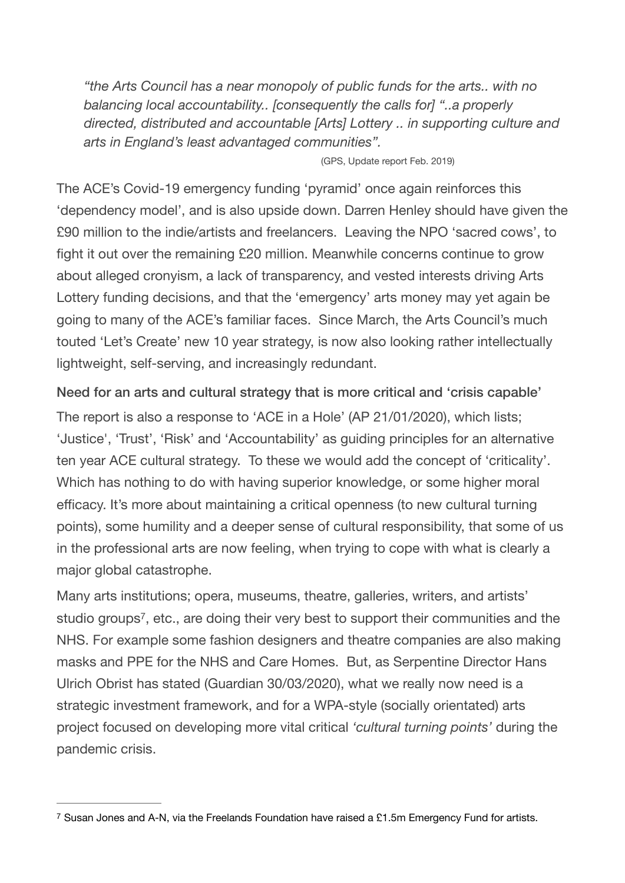*"the Arts Council has a near monopoly of public funds for the arts.. with no balancing local accountability.. [consequently the calls for] "..a properly directed, distributed and accountable [Arts] Lottery .. in supporting culture and arts in England's least advantaged communities".* 

*(GPS, Update report Feb. 2019)* 

The ACE's Covid-19 emergency funding 'pyramid' once again reinforces this 'dependency model', and is also upside down. Darren Henley should have given the £90 million to the indie/artists and freelancers. Leaving the NPO 'sacred cows', to fight it out over the remaining £20 million. Meanwhile concerns continue to grow about alleged cronyism, a lack of transparency, and vested interests driving Arts Lottery funding decisions, and that the 'emergency' arts money may yet again be going to many of the ACE's familiar faces. Since March, the Arts Council's much touted 'Let's Create' new 10 year strategy, is now also looking rather intellectually lightweight, self-serving, and increasingly redundant.

Need for an arts and cultural strategy that is more critical and 'crisis capable' The report is also a response to 'ACE in a Hole' (AP 21/01/2020), which lists; 'Justice', 'Trust', 'Risk' and 'Accountability' as guiding principles for an alternative ten year ACE cultural strategy. To these we would add the concept of 'criticality'. Which has nothing to do with having superior knowledge, or some higher moral efficacy. It's more about maintaining a critical openness (to new cultural turning points), some humility and a deeper sense of cultural responsibility, that some of us in the professional arts are now feeling, when trying to cope with what is clearly a major global catastrophe.

<span id="page-3-1"></span>Many arts institutions; opera, museums, theatre, galleries, writers, and artists' studio groups<sup>7</sup>[,](#page-3-0) etc., are doing their very best to support their communities and the NHS. For example some fashion designers and theatre companies are also making masks and PPE for the NHS and Care Homes. But, as Serpentine Director Hans Ulrich Obrist has stated (Guardian 30/03/2020), what we really now need is a strategic investment framework, and for a WPA-style (socially orientated) arts project focused on developing more vital critical *'cultural turning points'* during the pandemic crisis.

<span id="page-3-0"></span><sup>&</sup>lt;sup>[7](#page-3-1)</sup> Susan Jones and A-N, via the Freelands Foundation have raised a £1.5m Emergency Fund for artists.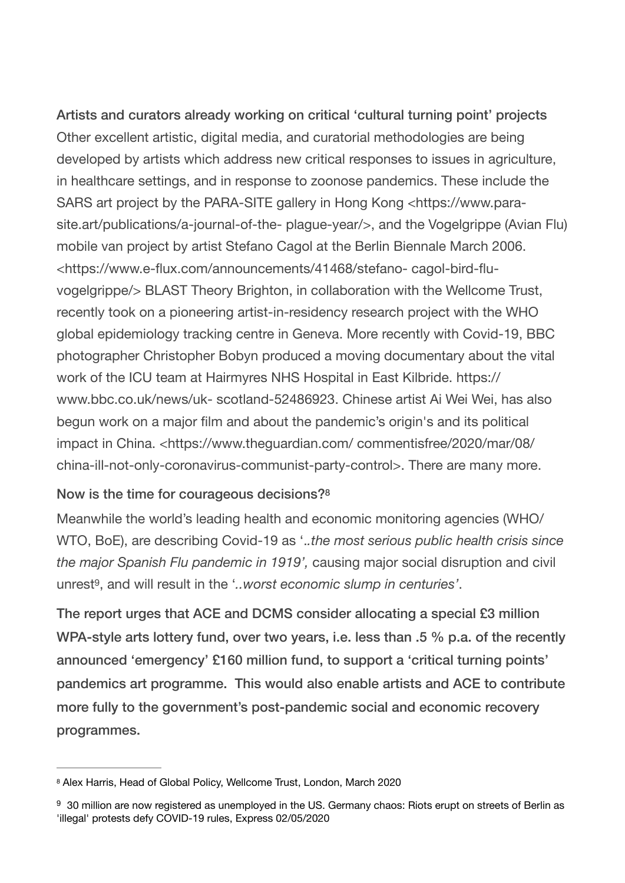Artists and curators already working on critical 'cultural turning point' projects Other excellent artistic, digital media, and curatorial methodologies are being developed by artists which address new critical responses to issues in agriculture, in healthcare settings, and in response to zoonose pandemics. These include the SARS art project by the PARA-SITE gallery in Hong Kong <https://www.parasite.art/publications/a-journal-of-the- plague-year/>, and the Vogelgrippe (Avian Flu) mobile van project by artist Stefano Cagol at the Berlin Biennale March 2006. <https://www.e-flux.com/announcements/41468/stefano- cagol-bird-fluvogelgrippe/> BLAST Theory Brighton, in collaboration with the Wellcome Trust, recently took on a pioneering artist-in-residency research project with the WHO global epidemiology tracking centre in Geneva. More recently with Covid-19, BBC photographer Christopher Bobyn produced a moving documentary about the vital work of the ICU team at Hairmyres NHS Hospital in East Kilbride. https:// www.bbc.co.uk/news/uk- scotland-52486923. Chinese artist Ai Wei Wei, has also begun work on a major film and about the pandemic's origin's and its political impact in China. <https://www.theguardian.com/ commentisfree/2020/mar/08/ china-ill-not-only-coronavirus-communist-party-control>. There are many more.

#### <span id="page-4-2"></span>Now is the time for courageous decisions?[8](#page-4-0)

Meanwhile the world's leading health and economic monitoring agencies (WHO/ WTO, BoE), are describing Covid-19 as '.*.the most serious public health crisis since the major Spanish Flu pandemic in 1919',* causing major social disruption and civil unrest<sup>[9](#page-4-1)</sup>, and will result in the '..worst economic slump in centuries'.

<span id="page-4-3"></span>The report urges that ACE and DCMS consider allocating a special £3 million WPA-style arts lottery fund, over two years, i.e. less than .5 % p.a. of the recently announced 'emergency' £160 million fund, to support a 'critical turning points' pandemics art programme. This would also enable artists and ACE to contribute more fully to the government's post-pandemic social and economic recovery programmes.

<span id="page-4-0"></span>[<sup>8</sup>](#page-4-2) Alex Harris, Head of Global Policy, Wellcome Trust, London, March 2020

<span id="page-4-1"></span>[<sup>9</sup>](#page-4-3) 30 million are now registered as unemployed in the US. Germany chaos: Riots erupt on streets of Berlin as 'illegal' protests defy COVID-19 rules, Express 02/05/2020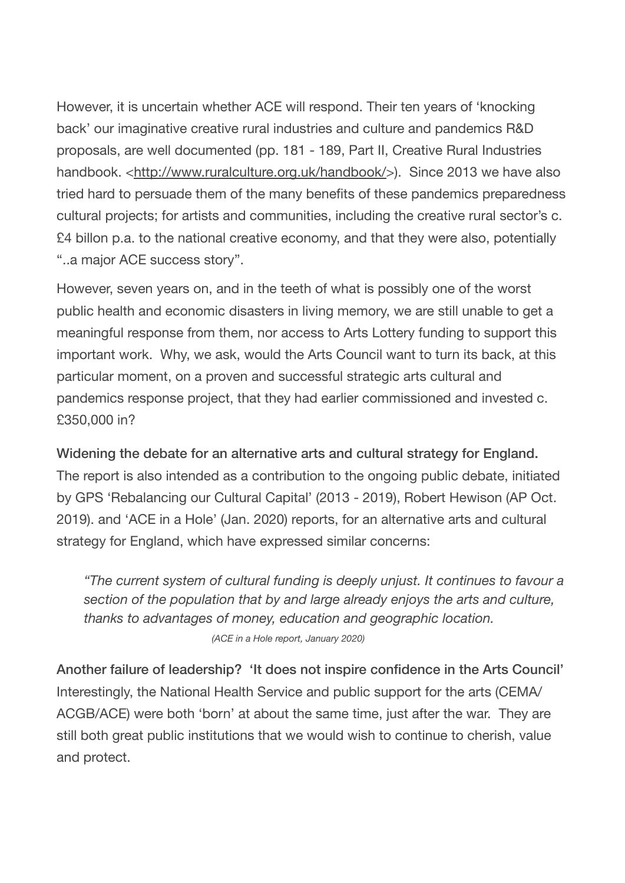However, it is uncertain whether ACE will respond. Their ten years of 'knocking back' our imaginative creative rural industries and culture and pandemics R&D proposals, are well documented (pp. 181 - 189, Part II, Creative Rural Industries handbook. <[http://www.ruralculture.org.uk/handbook/>](http://www.ruralculture.org.uk/handbook/)). Since 2013 we have also tried hard to persuade them of the many benefits of these pandemics preparedness cultural projects; for artists and communities, including the creative rural sector's c. £4 billon p.a. to the national creative economy, and that they were also, potentially "..a major ACE success story".

However, seven years on, and in the teeth of what is possibly one of the worst public health and economic disasters in living memory, we are still unable to get a meaningful response from them, nor access to Arts Lottery funding to support this important work. Why, we ask, would the Arts Council want to turn its back, at this particular moment, on a proven and successful strategic arts cultural and pandemics response project, that they had earlier commissioned and invested c. £350,000 in?

Widening the debate for an alternative arts and cultural strategy for England. The report is also intended as a contribution to the ongoing public debate, initiated by GPS 'Rebalancing our Cultural Capital' (2013 - 2019), Robert Hewison (AP Oct. 2019). and 'ACE in a Hole' (Jan. 2020) reports, for an alternative arts and cultural strategy for England, which have expressed similar concerns:

*"The current system of cultural funding is deeply unjust. It continues to favour a section of the population that by and large already enjoys the arts and culture, thanks to advantages of money, education and geographic location. (ACE in a Hole report, January 2020)* 

Another failure of leadership? 'It does not inspire confidence in the Arts Council' Interestingly, the National Health Service and public support for the arts (CEMA/ ACGB/ACE) were both 'born' at about the same time, just after the war. They are still both great public institutions that we would wish to continue to cherish, value and protect.